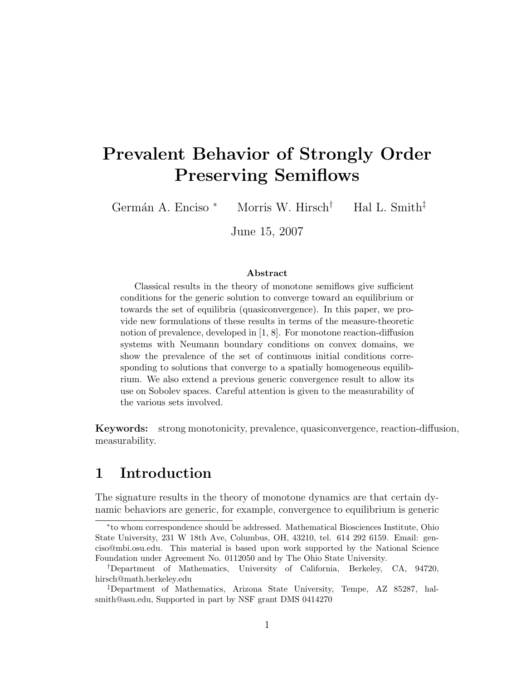# Prevalent Behavior of Strongly Order Preserving Semiflows

Germán A. Enciso \* Morris W. Hirsch<sup>†</sup> Hal L. Smith<sup>‡</sup>

June 15, 2007

#### Abstract

Classical results in the theory of monotone semiflows give sufficient conditions for the generic solution to converge toward an equilibrium or towards the set of equilibria (quasiconvergence). In this paper, we provide new formulations of these results in terms of the measure-theoretic notion of prevalence, developed in [1, 8]. For monotone reaction-diffusion systems with Neumann boundary conditions on convex domains, we show the prevalence of the set of continuous initial conditions corresponding to solutions that converge to a spatially homogeneous equilibrium. We also extend a previous generic convergence result to allow its use on Sobolev spaces. Careful attention is given to the measurability of the various sets involved.

Keywords: strong monotonicity, prevalence, quasiconvergence, reaction-diffusion, measurability.

### 1 Introduction

The signature results in the theory of monotone dynamics are that certain dynamic behaviors are generic, for example, convergence to equilibrium is generic

<sup>∗</sup> to whom correspondence should be addressed. Mathematical Biosciences Institute, Ohio State University, 231 W 18th Ave, Columbus, OH, 43210, tel. 614 292 6159. Email: genciso@mbi.osu.edu. This material is based upon work supported by the National Science Foundation under Agreement No. 0112050 and by The Ohio State University.

<sup>†</sup>Department of Mathematics, University of California, Berkeley, CA, 94720, hirsch@math.berkeley.edu

<sup>‡</sup>Department of Mathematics, Arizona State University, Tempe, AZ 85287, halsmith@asu.edu, Supported in part by NSF grant DMS 0414270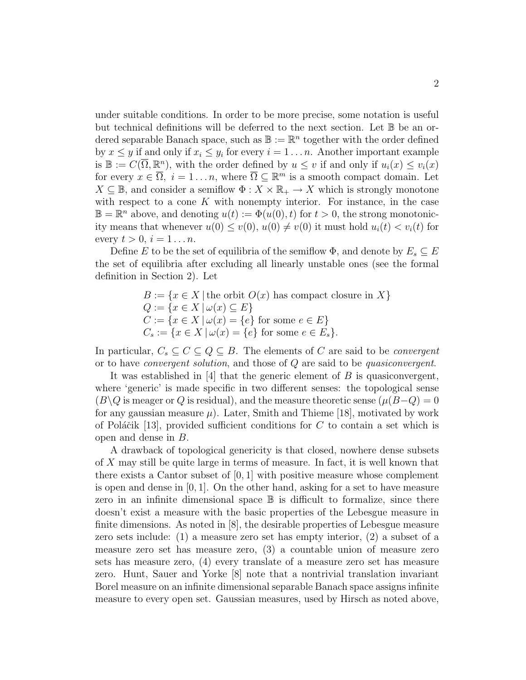under suitable conditions. In order to be more precise, some notation is useful but technical definitions will be deferred to the next section. Let  $\mathbb B$  be an ordered separable Banach space, such as  $\mathbb{B} := \mathbb{R}^n$  together with the order defined by  $x \leq y$  if and only if  $x_i \leq y_i$  for every  $i = 1 \ldots n$ . Another important example is  $\mathbb{B} := C(\overline{\Omega}, \mathbb{R}^n)$ , with the order defined by  $u \leq v$  if and only if  $u_i(x) \leq v_i(x)$ for every  $x \in \overline{\Omega}$ ,  $i = 1 \dots n$ , where  $\overline{\Omega} \subseteq \mathbb{R}^m$  is a smooth compact domain. Let  $X \subseteq \mathbb{B}$ , and consider a semiflow  $\Phi: X \times \mathbb{R}_+ \to X$  which is strongly monotone with respect to a cone  $K$  with nonempty interior. For instance, in the case  $\mathbb{B} = \mathbb{R}^n$  above, and denoting  $u(t) := \Phi(u(0), t)$  for  $t > 0$ , the strong monotonicity means that whenever  $u(0) \leq v(0)$ ,  $u(0) \neq v(0)$  it must hold  $u_i(t) < v_i(t)$  for every  $t > 0$ ,  $i = 1 \ldots n$ .

Define E to be the set of equilibria of the semiflow  $\Phi$ , and denote by  $E_s \subseteq E$ the set of equilibria after excluding all linearly unstable ones (see the formal definition in Section 2). Let

> $B := \{x \in X \mid \text{the orbit } O(x) \text{ has compact closure in } X\}$  $Q := \{x \in X \mid \omega(x) \subseteq E\}$  $C := \{x \in X \mid \omega(x) = \{e\} \text{ for some } e \in E\}$  $C_s := \{x \in X \, | \, \omega(x) = \{e\} \text{ for some } e \in E_s\}.$

In particular,  $C_s \subseteq C \subseteq Q \subseteq B$ . The elements of C are said to be *convergent* or to have convergent solution, and those of Q are said to be quasiconvergent.

It was established in  $[4]$  that the generic element of B is quasiconvergent, where 'generic' is made specific in two different senses: the topological sense  $(B\setminus Q)$  is meager or Q is residual), and the measure theoretic sense  $(\mu(B-Q))=0$ for any gaussian measure  $\mu$ ). Later, Smith and Thieme [18], motivated by work of Poláčik [13], provided sufficient conditions for C to contain a set which is open and dense in B.

A drawback of topological genericity is that closed, nowhere dense subsets of X may still be quite large in terms of measure. In fact, it is well known that there exists a Cantor subset of  $[0, 1]$  with positive measure whose complement is open and dense in  $[0, 1]$ . On the other hand, asking for a set to have measure zero in an infinite dimensional space  $\mathbb B$  is difficult to formalize, since there doesn't exist a measure with the basic properties of the Lebesgue measure in finite dimensions. As noted in [8], the desirable properties of Lebesgue measure zero sets include: (1) a measure zero set has empty interior, (2) a subset of a measure zero set has measure zero, (3) a countable union of measure zero sets has measure zero, (4) every translate of a measure zero set has measure zero. Hunt, Sauer and Yorke [8] note that a nontrivial translation invariant Borel measure on an infinite dimensional separable Banach space assigns infinite measure to every open set. Gaussian measures, used by Hirsch as noted above,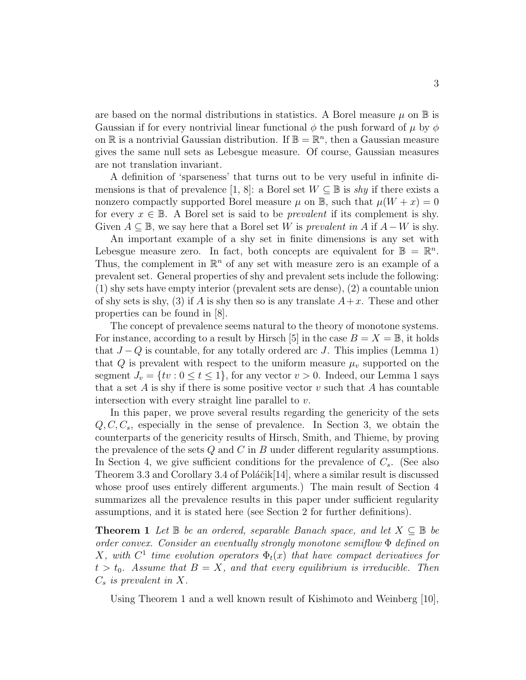are based on the normal distributions in statistics. A Borel measure  $\mu$  on  $\mathbb B$  is Gaussian if for every nontrivial linear functional  $\phi$  the push forward of  $\mu$  by  $\phi$ on  $\mathbb R$  is a nontrivial Gaussian distribution. If  $\mathbb B = \mathbb R^n$ , then a Gaussian measure gives the same null sets as Lebesgue measure. Of course, Gaussian measures are not translation invariant.

A definition of 'sparseness' that turns out to be very useful in infinite dimensions is that of prevalence [1, 8]: a Borel set  $W \subseteq \mathbb{B}$  is shy if there exists a nonzero compactly supported Borel measure  $\mu$  on  $\mathbb{B}$ , such that  $\mu(W + x) = 0$ for every  $x \in \mathbb{B}$ . A Borel set is said to be *prevalent* if its complement is shy. Given  $A \subseteq \mathbb{B}$ , we say here that a Borel set W is prevalent in A if  $A - W$  is shy.

An important example of a shy set in finite dimensions is any set with Lebesgue measure zero. In fact, both concepts are equivalent for  $\mathbb{B} = \mathbb{R}^n$ . Thus, the complement in  $\mathbb{R}^n$  of any set with measure zero is an example of a prevalent set. General properties of shy and prevalent sets include the following: (1) shy sets have empty interior (prevalent sets are dense), (2) a countable union of shy sets is shy, (3) if A is shy then so is any translate  $A+x$ . These and other properties can be found in [8].

The concept of prevalence seems natural to the theory of monotone systems. For instance, according to a result by Hirsch [5] in the case  $B = X = \mathbb{B}$ , it holds that  $J-Q$  is countable, for any totally ordered arc J. This implies (Lemma 1) that Q is prevalent with respect to the uniform measure  $\mu_v$  supported on the segment  $J_v = \{tv : 0 \le t \le 1\}$ , for any vector  $v > 0$ . Indeed, our Lemma 1 says that a set A is shy if there is some positive vector  $v$  such that A has countable intersection with every straight line parallel to  $v$ .

In this paper, we prove several results regarding the genericity of the sets  $Q, C, C_s$ , especially in the sense of prevalence. In Section 3, we obtain the counterparts of the genericity results of Hirsch, Smith, and Thieme, by proving the prevalence of the sets  $Q$  and  $C$  in  $B$  under different regularity assumptions. In Section 4, we give sufficient conditions for the prevalence of  $C_s$ . (See also Theorem 3.3 and Corollary 3.4 of Poláčik $[14]$ , where a similar result is discussed whose proof uses entirely different arguments.) The main result of Section 4 summarizes all the prevalence results in this paper under sufficient regularity assumptions, and it is stated here (see Section 2 for further definitions).

**Theorem 1** Let  $\mathbb{B}$  be an ordered, separable Banach space, and let  $X \subseteq \mathbb{B}$  be order convex. Consider an eventually strongly monotone semiflow Φ defined on X, with  $C^1$  time evolution operators  $\Phi_t(x)$  that have compact derivatives for  $t > t_0$ . Assume that  $B = X$ , and that every equilibrium is irreducible. Then  $C_s$  is prevalent in X.

Using Theorem 1 and a well known result of Kishimoto and Weinberg [10],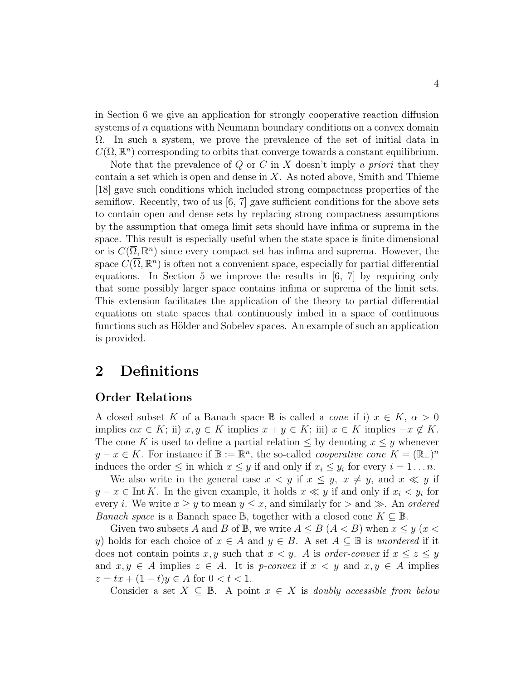in Section 6 we give an application for strongly cooperative reaction diffusion systems of n equations with Neumann boundary conditions on a convex domain Ω. In such a system, we prove the prevalence of the set of initial data in  $C(\overline{\Omega}, \mathbb{R}^n)$  corresponding to orbits that converge towards a constant equilibrium.

Note that the prevalence of  $Q$  or  $C$  in  $X$  doesn't imply a priori that they contain a set which is open and dense in  $X$ . As noted above, Smith and Thieme [18] gave such conditions which included strong compactness properties of the semiflow. Recently, two of us  $[6, 7]$  gave sufficient conditions for the above sets to contain open and dense sets by replacing strong compactness assumptions by the assumption that omega limit sets should have infima or suprema in the space. This result is especially useful when the state space is finite dimensional or is  $C(\overline{\Omega}, \mathbb{R}^n)$  since every compact set has infima and suprema. However, the space  $C(\overline{\Omega}, \mathbb{R}^n)$  is often not a convenient space, especially for partial differential equations. In Section 5 we improve the results in  $[6, 7]$  by requiring only that some possibly larger space contains infima or suprema of the limit sets. This extension facilitates the application of the theory to partial differential equations on state spaces that continuously imbed in a space of continuous functions such as Hölder and Sobelev spaces. An example of such an application is provided.

### 2 Definitions

### Order Relations

A closed subset K of a Banach space B is called a *cone* if i)  $x \in K$ ,  $\alpha > 0$ implies  $\alpha x \in K$ ; ii)  $x, y \in K$  implies  $x + y \in K$ ; iii)  $x \in K$  implies  $-x \notin K$ . The cone K is used to define a partial relation  $\leq$  by denoting  $x \leq y$  whenever  $y - x \in K$ . For instance if  $\mathbb{B} := \mathbb{R}^n$ , the so-called *cooperative cone*  $K = (\mathbb{R}_+)^n$ induces the order  $\leq$  in which  $x \leq y$  if and only if  $x_i \leq y_i$  for every  $i = 1 \dots n$ .

We also write in the general case  $x < y$  if  $x \leq y$ ,  $x \neq y$ , and  $x \ll y$  if  $y - x \in \text{Int } K$ . In the given example, it holds  $x \ll y$  if and only if  $x_i \ll y_i$  for every *i*. We write  $x \geq y$  to mean  $y \leq x$ , and similarly for  $>$  and  $\gg$ . An *ordered Banach space* is a Banach space  $\mathbb{B}$ , together with a closed cone  $K \subseteq \mathbb{B}$ .

Given two subsets A and B of  $\mathbb{B}$ , we write  $A \leq B$  ( $A < B$ ) when  $x \leq y$  ( $x <$ y) holds for each choice of  $x \in A$  and  $y \in B$ . A set  $A \subseteq \mathbb{B}$  is unordered if it does not contain points x, y such that  $x < y$ . A is order-convex if  $x \le z \le y$ and  $x, y \in A$  implies  $z \in A$ . It is *p-convex* if  $x < y$  and  $x, y \in A$  implies  $z = tx + (1-t)y \in A$  for  $0 < t < 1$ .

Consider a set  $X \subseteq \mathbb{B}$ . A point  $x \in X$  is *doubly accessible from below*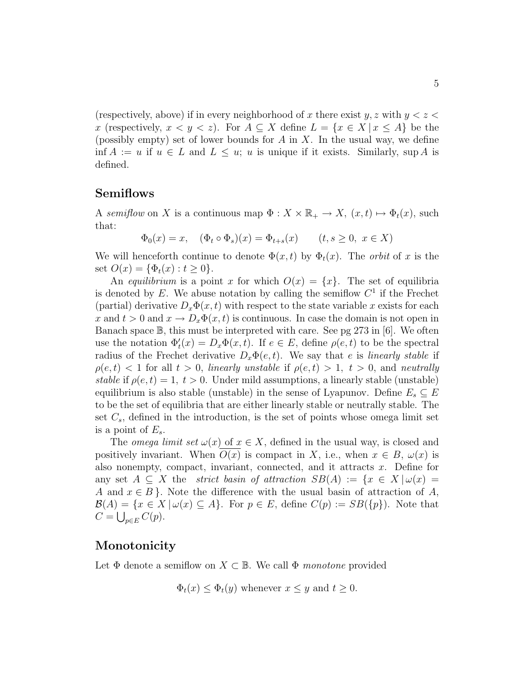(respectively, above) if in every neighborhood of x there exist  $y, z$  with  $y < z <$ x (respectively,  $x < y < z$ ). For  $A \subseteq X$  define  $L = \{x \in X | x \le A\}$  be the (possibly empty) set of lower bounds for  $A$  in  $X$ . In the usual way, we define inf  $A := u$  if  $u \in L$  and  $L \leq u$ ; u is unique if it exists. Similarly, sup A is defined.

### Semiflows

A semiflow on X is a continuous map  $\Phi: X \times \mathbb{R}_+ \to X$ ,  $(x, t) \mapsto \Phi_t(x)$ , such that:

$$
\Phi_0(x) = x
$$
,  $(\Phi_t \circ \Phi_s)(x) = \Phi_{t+s}(x)$   $(t, s \ge 0, x \in X)$ 

We will henceforth continue to denote  $\Phi(x,t)$  by  $\Phi_t(x)$ . The *orbit* of x is the set  $O(x) = {\Phi_t(x) : t \ge 0}.$ 

An equilibrium is a point x for which  $O(x) = \{x\}$ . The set of equilibria is denoted by  $E$ . We abuse notation by calling the semiflow  $C<sup>1</sup>$  if the Frechet (partial) derivative  $D_x\Phi(x,t)$  with respect to the state variable x exists for each x and  $t > 0$  and  $x \to D_x \Phi(x, t)$  is continuous. In case the domain is not open in Banach space B, this must be interpreted with care. See pg 273 in [6]. We often use the notation  $\Phi_t'(x) = D_x \Phi(x, t)$ . If  $e \in E$ , define  $\rho(e, t)$  to be the spectral radius of the Frechet derivative  $D_x\Phi(e,t)$ . We say that e is *linearly stable* if  $\rho(e, t) < 1$  for all  $t > 0$ , linearly unstable if  $\rho(e, t) > 1$ ,  $t > 0$ , and neutrally stable if  $\rho(e, t) = 1, t > 0$ . Under mild assumptions, a linearly stable (unstable) equilibrium is also stable (unstable) in the sense of Lyapunov. Define  $E_s \subseteq E$ to be the set of equilibria that are either linearly stable or neutrally stable. The set  $C_s$ , defined in the introduction, is the set of points whose omega limit set is a point of  $E_s$ .

The *omega limit set*  $\omega(x)$  of  $x \in X$ , defined in the usual way, is closed and positively invariant. When  $O(x)$  is compact in X, i.e., when  $x \in B$ ,  $\omega(x)$  is also nonempty, compact, invariant, connected, and it attracts  $x$ . Define for any set  $A \subseteq X$  the *strict basin of attraction SB(A)* := { $x \in X | \omega(x)$  = A and  $x \in B$ . Note the difference with the usual basin of attraction of A,  $\mathcal{B}(A) = \{x \in X \mid \omega(x) \subseteq A\}.$  For  $p \in E$ , define  $C(p) := SB(\{p\}).$  Note that  $C = \bigcup_{p \in E} C(p).$ 

### Monotonicity

Let  $\Phi$  denote a semiflow on  $X \subset \mathbb{B}$ . We call  $\Phi$  monotone provided

$$
\Phi_t(x) \leq \Phi_t(y)
$$
 whenever  $x \leq y$  and  $t \geq 0$ .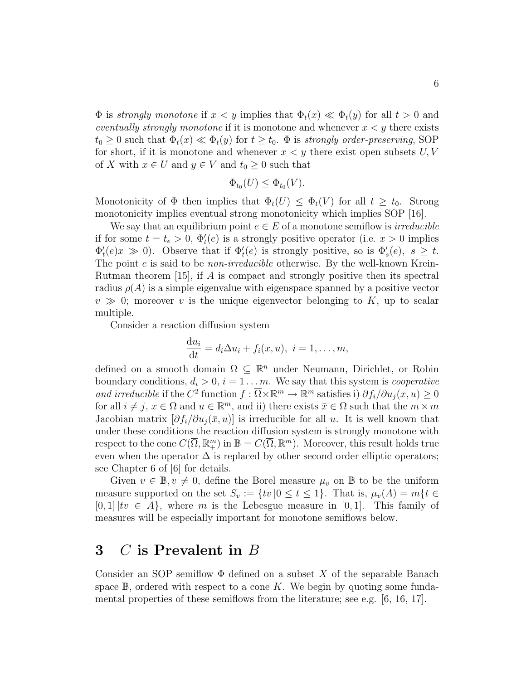$\Phi$  is strongly monotone if  $x < y$  implies that  $\Phi_t(x) \ll \Phi_t(y)$  for all  $t > 0$  and eventually strongly monotone if it is monotone and whenever  $x < y$  there exists  $t_0 \geq 0$  such that  $\Phi_t(x) \ll \Phi_t(y)$  for  $t \geq t_0$ .  $\Phi$  is strongly order-preserving, SOP for short, if it is monotone and whenever  $x < y$  there exist open subsets  $U, V$ of X with  $x \in U$  and  $y \in V$  and  $t_0 \geq 0$  such that

$$
\Phi_{t_0}(U) \le \Phi_{t_0}(V).
$$

Monotonicity of  $\Phi$  then implies that  $\Phi_t(U) \leq \Phi_t(V)$  for all  $t \geq t_0$ . Strong monotonicity implies eventual strong monotonicity which implies SOP [16].

We say that an equilibrium point  $e \in E$  of a monotone semiflow is *irreducible* if for some  $t = t_e > 0$ ,  $\Phi_t'(e)$  is a strongly positive operator (i.e.  $x > 0$  implies  $\Phi'_t(e)x \gg 0$ ). Observe that if  $\Phi'_t(e)$  is strongly positive, so is  $\Phi'_s(e)$ ,  $s \geq t$ . The point *e* is said to be *non-irreducible* otherwise. By the well-known Krein-Rutman theorem [15], if A is compact and strongly positive then its spectral radius  $\rho(A)$  is a simple eigenvalue with eigenspace spanned by a positive vector  $v \gg 0$ ; moreover v is the unique eigenvector belonging to K, up to scalar multiple.

Consider a reaction diffusion system

$$
\frac{\mathrm{d}u_i}{\mathrm{d}t} = d_i \Delta u_i + f_i(x, u), \ i = 1, \dots, m,
$$

defined on a smooth domain  $\Omega \subseteq \mathbb{R}^n$  under Neumann, Dirichlet, or Robin boundary conditions,  $d_i > 0$ ,  $i = 1 \dots m$ . We say that this system is *cooperative* and irreducible if the C<sup>2</sup> function  $f : \overline{\Omega} \times \mathbb{R}^m \to \mathbb{R}^m$  satisfies i)  $\partial f_i / \partial u_j(x, u) \geq 0$ for all  $i \neq j$ ,  $x \in \Omega$  and  $u \in \mathbb{R}^m$ , and ii) there exists  $\bar{x} \in \Omega$  such that the  $m \times m$ Jacobian matrix  $[\partial f_i/\partial u_j(\bar{x}, u)]$  is irreducible for all u. It is well known that under these conditions the reaction diffusion system is strongly monotone with respect to the cone  $C(\overline{\Omega}, \mathbb{R}^m_+)$  in  $\mathbb{B} = C(\overline{\Omega}, \mathbb{R}^m)$ . Moreover, this result holds true even when the operator  $\Delta$  is replaced by other second order elliptic operators; see Chapter 6 of [6] for details.

Given  $v \in \mathbb{B}, v \neq 0$ , define the Borel measure  $\mu_v$  on  $\mathbb{B}$  to be the uniform measure supported on the set  $S_v := \{tv | 0 \le t \le 1\}$ . That is,  $\mu_v(A) = m\{t \in$  $[0, 1]$   $\{tv \in A\}$ , where m is the Lebesgue measure in  $[0, 1]$ . This family of measures will be especially important for monotone semiflows below.

## 3 C is Prevalent in B

Consider an SOP semiflow  $\Phi$  defined on a subset X of the separable Banach space  $\mathbb{B}$ , ordered with respect to a cone K. We begin by quoting some fundamental properties of these semiflows from the literature; see e.g. [6, 16, 17].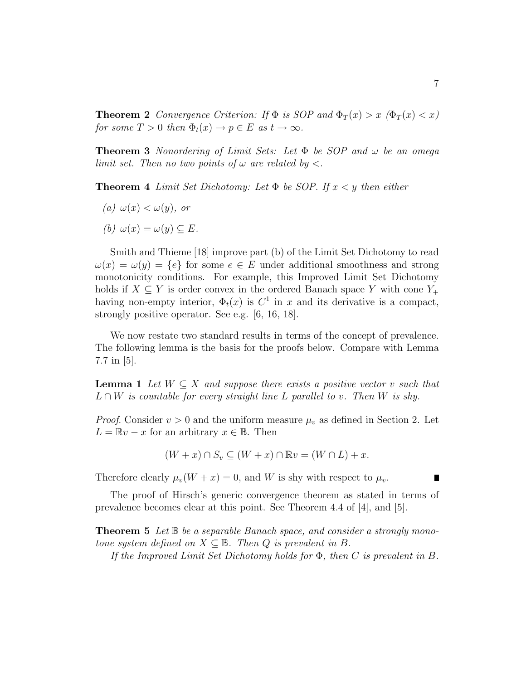**Theorem 2** Convergence Criterion: If  $\Phi$  is SOP and  $\Phi_T(x) > x$  ( $\Phi_T(x) < x$ ) for some  $T > 0$  then  $\Phi_t(x) \to p \in E$  as  $t \to \infty$ .

**Theorem 3** Nonordering of Limit Sets: Let  $\Phi$  be SOP and  $\omega$  be an omega limit set. Then no two points of  $\omega$  are related by  $\lt$ .

**Theorem 4** Limit Set Dichotomy: Let  $\Phi$  be SOP. If  $x \leq y$  then either

- (a)  $\omega(x) < \omega(y)$ , or
- (b)  $\omega(x) = \omega(y) \subset E$ .

Smith and Thieme [18] improve part (b) of the Limit Set Dichotomy to read  $\omega(x) = \omega(y) = \{e\}$  for some  $e \in E$  under additional smoothness and strong monotonicity conditions. For example, this Improved Limit Set Dichotomy holds if  $X \subseteq Y$  is order convex in the ordered Banach space Y with cone  $Y_+$ having non-empty interior,  $\Phi_t(x)$  is  $C^1$  in x and its derivative is a compact, strongly positive operator. See e.g. [6, 16, 18].

We now restate two standard results in terms of the concept of prevalence. The following lemma is the basis for the proofs below. Compare with Lemma 7.7 in [5].

**Lemma 1** Let  $W \subseteq X$  and suppose there exists a positive vector v such that  $L \cap W$  is countable for every straight line L parallel to v. Then W is shy.

*Proof.* Consider  $v > 0$  and the uniform measure  $\mu_v$  as defined in Section 2. Let  $L = \mathbb{R}v - x$  for an arbitrary  $x \in \mathbb{B}$ . Then

$$
(W+x)\cap S_v\subseteq (W+x)\cap \mathbb{R}v=(W\cap L)+x.
$$

Therefore clearly  $\mu_v(W + x) = 0$ , and W is shy with respect to  $\mu_v$ .

The proof of Hirsch's generic convergence theorem as stated in terms of prevalence becomes clear at this point. See Theorem 4.4 of [4], and [5].

**Theorem 5** Let  $\mathbb{B}$  be a separable Banach space, and consider a strongly monotone system defined on  $X \subseteq \mathbb{B}$ . Then Q is prevalent in B.

If the Improved Limit Set Dichotomy holds for  $\Phi$ , then C is prevalent in B.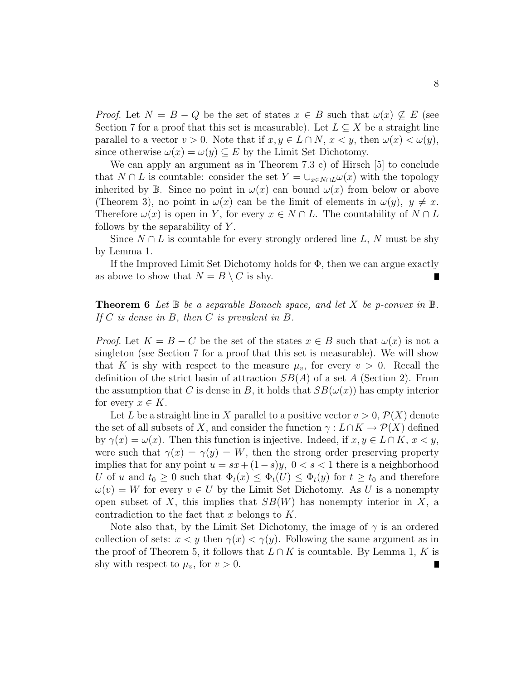*Proof.* Let  $N = B - Q$  be the set of states  $x \in B$  such that  $\omega(x) \nsubseteq E$  (see Section 7 for a proof that this set is measurable). Let  $L \subseteq X$  be a straight line parallel to a vector  $v > 0$ . Note that if  $x, y \in L \cap N$ ,  $x < y$ , then  $\omega(x) < \omega(y)$ , since otherwise  $\omega(x) = \omega(y) \subseteq E$  by the Limit Set Dichotomy.

We can apply an argument as in Theorem 7.3 c) of Hirsch [5] to conclude that  $N \cap L$  is countable: consider the set  $Y = \bigcup_{x \in N \cap L} \omega(x)$  with the topology inherited by B. Since no point in  $\omega(x)$  can bound  $\omega(x)$  from below or above (Theorem 3), no point in  $\omega(x)$  can be the limit of elements in  $\omega(y)$ ,  $y \neq x$ . Therefore  $\omega(x)$  is open in Y, for every  $x \in N \cap L$ . The countability of  $N \cap L$ follows by the separability of  $Y$ .

Since  $N \cap L$  is countable for every strongly ordered line L, N must be shy by Lemma 1.

If the Improved Limit Set Dichotomy holds for  $\Phi$ , then we can argue exactly as above to show that  $N = B \setminus C$  is shy.

### **Theorem 6** Let  $\mathbb B$  be a separable Banach space, and let X be p-convex in  $\mathbb B$ . If  $C$  is dense in  $B$ , then  $C$  is prevalent in  $B$ .

*Proof.* Let  $K = B - C$  be the set of the states  $x \in B$  such that  $\omega(x)$  is not a singleton (see Section 7 for a proof that this set is measurable). We will show that K is shy with respect to the measure  $\mu_v$ , for every  $v > 0$ . Recall the definition of the strict basin of attraction  $SB(A)$  of a set A (Section 2). From the assumption that C is dense in B, it holds that  $SB(\omega(x))$  has empty interior for every  $x \in K$ .

Let L be a straight line in X parallel to a positive vector  $v > 0$ ,  $\mathcal{P}(X)$  denote the set of all subsets of X, and consider the function  $\gamma : L \cap K \to \mathcal{P}(X)$  defined by  $\gamma(x) = \omega(x)$ . Then this function is injective. Indeed, if  $x, y \in L \cap K$ ,  $x < y$ , were such that  $\gamma(x) = \gamma(y) = W$ , then the strong order preserving property implies that for any point  $u = sx + (1-s)y$ ,  $0 < s < 1$  there is a neighborhood U of u and  $t_0 \geq 0$  such that  $\Phi_t(x) \leq \Phi_t(U) \leq \Phi_t(y)$  for  $t \geq t_0$  and therefore  $\omega(v) = W$  for every  $v \in U$  by the Limit Set Dichotomy. As U is a nonempty open subset of X, this implies that  $SB(W)$  has nonempty interior in X, a contradiction to the fact that x belongs to  $K$ .

Note also that, by the Limit Set Dichotomy, the image of  $\gamma$  is an ordered collection of sets:  $x < y$  then  $\gamma(x) < \gamma(y)$ . Following the same argument as in the proof of Theorem 5, it follows that  $L \cap K$  is countable. By Lemma 1, K is shy with respect to  $\mu_v$ , for  $v > 0$ .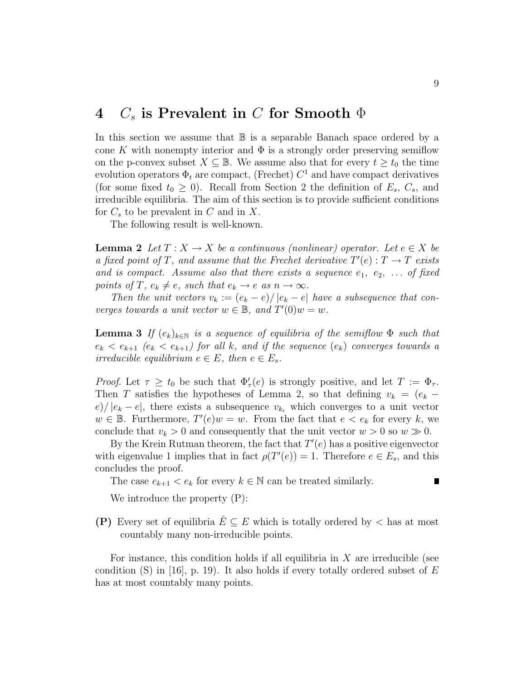### 4  $C_s$  is Prevalent in C for Smooth  $\Phi$

In this section we assume that  $\mathbb B$  is a separable Banach space ordered by a cone K with nonempty interior and  $\Phi$  is a strongly order preserving semiflow on the p-convex subset  $X \subseteq \mathbb{B}$ . We assume also that for every  $t \geq t_0$  the time evolution operators  $\Phi_t$  are compact, (Frechet)  $C^1$  and have compact derivatives (for some fixed  $t_0 \geq 0$ ). Recall from Section 2 the definition of  $E_s$ ,  $C_s$ , and irreducible equilibria. The aim of this section is to provide sufficient conditions for  $C_s$  to be prevalent in C and in X.

The following result is well-known.

**Lemma 2** Let  $T: X \to X$  be a continuous (nonlinear) operator. Let  $e \in X$  be a fixed point of T, and assume that the Frechet derivative  $T'(e) : T \to T$  exists and is compact. Assume also that there exists a sequence  $e_1, e_2, \ldots$  of fixed points of T,  $e_k \neq e$ , such that  $e_k \rightarrow e$  as  $n \rightarrow \infty$ .

Then the unit vectors  $v_k := (e_k - e)/|e_k - e|$  have a subsequence that converges towards a unit vector  $w \in \mathbb{B}$ , and  $T'(0)w = w$ .

**Lemma 3** If  $(e_k)_{k\in\mathbb{N}}$  is a sequence of equilibria of the semiflow  $\Phi$  such that  $e_k < e_{k+1}$  ( $e_k < e_{k+1}$ ) for all k, and if the sequence ( $e_k$ ) converges towards a irreducible equilibrium  $e \in E$ , then  $e \in E_s$ .

Proof. Let  $\tau \geq t_0$  be such that  $\Phi_{\tau}'(e)$  is strongly positive, and let  $T := \Phi_{\tau}$ . Then T satisfies the hypotheses of Lemma 2, so that defining  $v_k = (e_k$  $e/|e_k - e|$ , there exists a subsequence  $v_{k_i}$  which converges to a unit vector  $w \in \mathbb{B}$ . Furthermore,  $T'(e)w = w$ . From the fact that  $e < e_k$  for every k, we conclude that  $v_k > 0$  and consequently that the unit vector  $w > 0$  so  $w \gg 0$ .

By the Krein Rutman theorem, the fact that  $T'(e)$  has a positive eigenvector with eigenvalue 1 implies that in fact  $\rho(T'(e)) = 1$ . Therefore  $e \in E_s$ , and this concludes the proof.

The case  $e_{k+1} < e_k$  for every  $k \in \mathbb{N}$  can be treated similarly.

We introduce the property (P):

(P) Every set of equilibria  $E \subseteq E$  which is totally ordered by  $\lt$  has at most countably many non-irreducible points.

For instance, this condition holds if all equilibria in  $X$  are irreducible (see condition (S) in [16], p. 19). It also holds if every totally ordered subset of  $E$ has at most countably many points.

 $\blacksquare$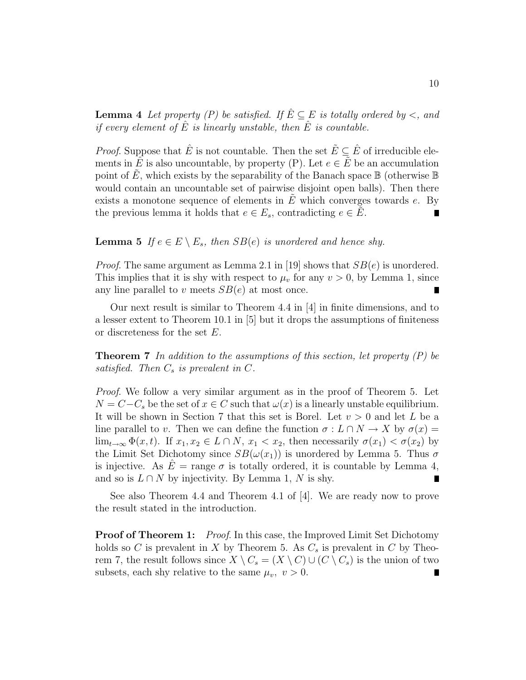**Lemma 4** Let property (P) be satisfied. If  $\hat{E} \subseteq E$  is totally ordered by <, and if every element of  $\hat{E}$  is linearly unstable, then  $\hat{E}$  is countable.

*Proof.* Suppose that  $\hat{E}$  is not countable. Then the set  $\tilde{E} \subseteq \hat{E}$  of irreducible elements in  $\hat{E}$  is also uncountable, by property (P). Let  $e \in \hat{E}$  be an accumulation point of E, which exists by the separability of the Banach space  $\mathbb B$  (otherwise  $\mathbb B$ ) would contain an uncountable set of pairwise disjoint open balls). Then there exists a monotone sequence of elements in  $E$  which converges towards  $e$ . By the previous lemma it holds that  $e \in E_s$ , contradicting  $e \in \tilde{E}$ . П

#### **Lemma 5** If  $e \in E \setminus E_s$ , then  $SB(e)$  is unordered and hence shy.

*Proof.* The same argument as Lemma 2.1 in [19] shows that  $SB(e)$  is unordered. This implies that it is shy with respect to  $\mu_v$  for any  $v > 0$ , by Lemma 1, since any line parallel to v meets  $SB(e)$  at most once.

Our next result is similar to Theorem 4.4 in [4] in finite dimensions, and to a lesser extent to Theorem 10.1 in [5] but it drops the assumptions of finiteness or discreteness for the set E.

**Theorem 7** In addition to the assumptions of this section, let property  $(P)$  be satisfied. Then  $C_s$  is prevalent in  $C$ .

Proof. We follow a very similar argument as in the proof of Theorem 5. Let  $N = C - C_s$  be the set of  $x \in C$  such that  $\omega(x)$  is a linearly unstable equilibrium. It will be shown in Section 7 that this set is Borel. Let  $v > 0$  and let L be a line parallel to v. Then we can define the function  $\sigma : L \cap N \to X$  by  $\sigma(x) =$  $\lim_{t\to\infty} \Phi(x,t)$ . If  $x_1, x_2 \in L \cap N$ ,  $x_1 < x_2$ , then necessarily  $\sigma(x_1) < \sigma(x_2)$  by the Limit Set Dichotomy since  $SB(\omega(x_1))$  is unordered by Lemma 5. Thus  $\sigma$ is injective. As  $\hat{E}$  = range  $\sigma$  is totally ordered, it is countable by Lemma 4, and so is  $L \cap N$  by injectivity. By Lemma 1, N is shy.

See also Theorem 4.4 and Theorem 4.1 of [4]. We are ready now to prove the result stated in the introduction.

**Proof of Theorem 1:** Proof. In this case, the Improved Limit Set Dichotomy holds so C is prevalent in X by Theorem 5. As  $C_s$  is prevalent in C by Theorem 7, the result follows since  $X \setminus C_s = (X \setminus C) \cup (C \setminus C_s)$  is the union of two subsets, each shy relative to the same  $\mu_v$ ,  $v > 0$ .  $\blacksquare$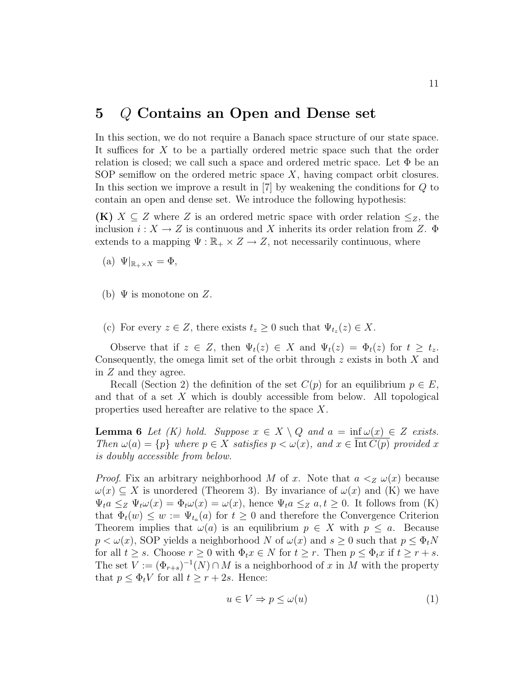### 5 Q Contains an Open and Dense set

In this section, we do not require a Banach space structure of our state space. It suffices for X to be a partially ordered metric space such that the order relation is closed; we call such a space and ordered metric space. Let  $\Phi$  be an SOP semiflow on the ordered metric space  $X$ , having compact orbit closures. In this section we improve a result in [7] by weakening the conditions for Q to contain an open and dense set. We introduce the following hypothesis:

**(K)**  $X \subseteq Z$  where Z is an ordered metric space with order relation  $\leq_Z$ , the inclusion  $i: X \to Z$  is continuous and X inherits its order relation from Z.  $\Phi$ extends to a mapping  $\Psi : \mathbb{R}_+ \times Z \to Z$ , not necessarily continuous, where

(a)  $\Psi|_{\mathbb{R}_+\times X} = \Phi$ ,

- (b)  $\Psi$  is monotone on Z.
- (c) For every  $z \in Z$ , there exists  $t_z \geq 0$  such that  $\Psi_{t_z}(z) \in X$ .

Observe that if  $z \in Z$ , then  $\Psi_t(z) \in X$  and  $\Psi_t(z) = \Phi_t(z)$  for  $t \geq t_z$ . Consequently, the omega limit set of the orbit through z exists in both X and in Z and they agree.

Recall (Section 2) the definition of the set  $C(p)$  for an equilibrium  $p \in E$ , and that of a set  $X$  which is doubly accessible from below. All topological properties used hereafter are relative to the space X.

**Lemma 6** Let (K) hold. Suppose  $x \in X \setminus Q$  and  $a = \inf \omega(x) \in Z$  exists. Then  $\omega(a) = \{p\}$  where  $p \in X$  satisfies  $p < \omega(x)$ , and  $x \in \text{Int } C(p)$  provided x is doubly accessible from below.

*Proof.* Fix an arbitrary neighborhood M of x. Note that  $a <sub>Z</sub> \omega(x)$  because  $\omega(x) \subseteq X$  is unordered (Theorem 3). By invariance of  $\omega(x)$  and (K) we have  $\Psi_t a \leq_Z \Psi_t \omega(x) = \Phi_t \omega(x) = \omega(x)$ , hence  $\Psi_t a \leq_Z a, t \geq 0$ . It follows from (K) that  $\Phi_t(w) \leq w := \Psi_{t_a}(a)$  for  $t \geq 0$  and therefore the Convergence Criterion Theorem implies that  $\omega(a)$  is an equilibrium  $p \in X$  with  $p \leq a$ . Because  $p < \omega(x)$ , SOP yields a neighborhood N of  $\omega(x)$  and  $s \geq 0$  such that  $p \leq \Phi_t N$ for all  $t \geq s$ . Choose  $r \geq 0$  with  $\Phi_t x \in N$  for  $t \geq r$ . Then  $p \leq \Phi_t x$  if  $t \geq r + s$ . The set  $V := (\Phi_{r+s})^{-1}(N) \cap M$  is a neighborhood of x in M with the property that  $p \leq \Phi_t V$  for all  $t \geq r + 2s$ . Hence:

$$
u \in V \Rightarrow p \le \omega(u) \tag{1}
$$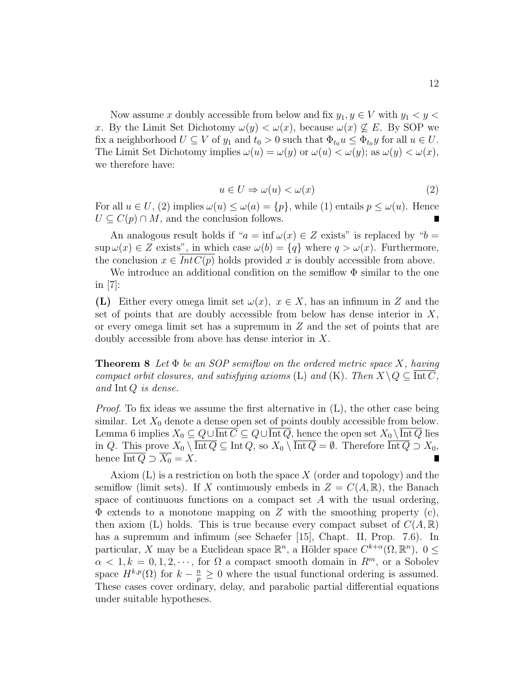Now assume x doubly accessible from below and fix  $y_1, y \in V$  with  $y_1 < y <$ x. By the Limit Set Dichotomy  $\omega(y) < \omega(x)$ , because  $\omega(x) \not\subseteq E$ . By SOP we fix a neighborhood  $U \subseteq V$  of  $y_1$  and  $t_0 > 0$  such that  $\Phi_{t_0} u \leq \Phi_{t_0} y$  for all  $u \in U$ . The Limit Set Dichotomy implies  $\omega(u) = \omega(y)$  or  $\omega(u) < \omega(y)$ ; as  $\omega(y) < \omega(x)$ , we therefore have:

$$
u \in U \Rightarrow \omega(u) < \omega(x) \tag{2}
$$

For all  $u \in U$ , (2) implies  $\omega(u) \leq \omega(a) = \{p\}$ , while (1) entails  $p \leq \omega(u)$ . Hence  $U \subseteq C(p) \cap M$ , and the conclusion follows.

An analogous result holds if " $a = \inf \omega(x) \in Z$  exists" is replaced by " $b =$  $\sup \omega(x) \in Z$  exists", in which case  $\omega(b) = \{q\}$  where  $q > \omega(x)$ . Furthermore, the conclusion  $x \in Int C(p)$  holds provided x is doubly accessible from above.

We introduce an additional condition on the semiflow  $\Phi$  similar to the one in  $|7|$ :

(L) Either every omega limit set  $\omega(x)$ ,  $x \in X$ , has an infimum in Z and the set of points that are doubly accessible from below has dense interior in  $X$ , or every omega limit set has a supremum in  $Z$  and the set of points that are doubly accessible from above has dense interior in X.

**Theorem 8** Let  $\Phi$  be an SOP semiflow on the ordered metric space X, having compact orbit closures, and satisfying axioms (L) and (K). Then  $X \setminus Q \subseteq \text{Int } C$ , and Int Q is dense.

*Proof.* To fix ideas we assume the first alternative in  $(L)$ , the other case being similar. Let  $X_0$  denote a dense open set of points doubly accessible from below. Lemma 6 implies  $X_0 \subseteq Q \cup \overline{\text{Int }C} \subseteq Q \cup \overline{\text{Int }Q}$ , hence the open set  $X_0 \setminus \overline{\text{Int }Q}$  lies in Q. This prove  $X_0 \setminus \overline{\text{Int }Q} \subseteq \text{Int }Q$ , so  $X_0 \setminus \overline{\text{Int }Q} = \emptyset$ . Therefore  $\overline{\text{Int }Q} \supset X_0$ , hence  $\overline{\text{Int }Q} \supset \overline{X_0} = X$ .  $\blacksquare$ 

Axiom  $(L)$  is a restriction on both the space X (order and topology) and the semiflow (limit sets). If X continuously embeds in  $Z = C(A, \mathbb{R})$ , the Banach space of continuous functions on a compact set A with the usual ordering,  $\Phi$  extends to a monotone mapping on Z with the smoothing property (c), then axiom (L) holds. This is true because every compact subset of  $C(A,\mathbb{R})$ has a supremum and infimum (see Schaefer [15], Chapt. II, Prop. 7.6). In particular, X may be a Euclidean space  $\mathbb{R}^n$ , a Hölder space  $C^{k+\alpha}(\Omega,\mathbb{R}^n)$ ,  $0 \leq$  $\alpha < 1, k = 0, 1, 2, \dots$ , for  $\Omega$  a compact smooth domain in  $R^m$ , or a Sobolev space  $H^{k,p}(\Omega)$  for  $k-\frac{n}{p}\geq 0$  where the usual functional ordering is assumed. These cases cover ordinary, delay, and parabolic partial differential equations under suitable hypotheses.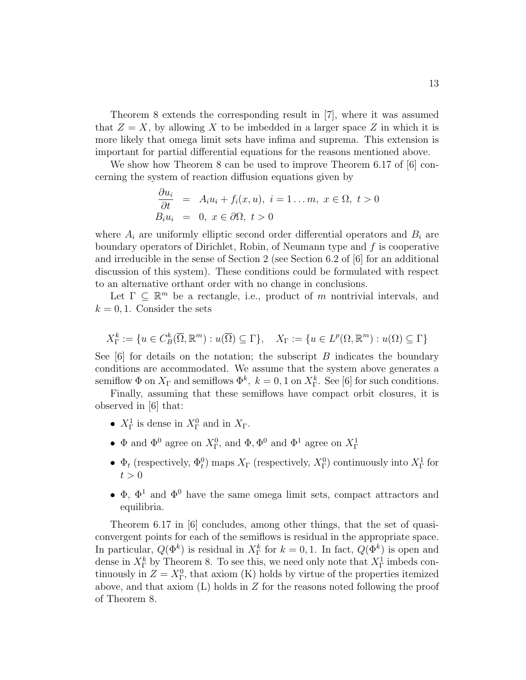Theorem 8 extends the corresponding result in [7], where it was assumed that  $Z = X$ , by allowing X to be imbedded in a larger space Z in which it is more likely that omega limit sets have infima and suprema. This extension is important for partial differential equations for the reasons mentioned above.

We show how Theorem 8 can be used to improve Theorem 6.17 of  $[6]$  concerning the system of reaction diffusion equations given by

$$
\frac{\partial u_i}{\partial t} = A_i u_i + f_i(x, u), \quad i = 1 \dots m, \quad x \in \Omega, \quad t > 0
$$
  

$$
B_i u_i = 0, \quad x \in \partial\Omega, \quad t > 0
$$

where  $A_i$  are uniformly elliptic second order differential operators and  $B_i$  are boundary operators of Dirichlet, Robin, of Neumann type and  $f$  is cooperative and irreducible in the sense of Section 2 (see Section 6.2 of [6] for an additional discussion of this system). These conditions could be formulated with respect to an alternative orthant order with no change in conclusions.

Let  $\Gamma \subseteq \mathbb{R}^m$  be a rectangle, i.e., product of m nontrivial intervals, and  $k = 0, 1$ . Consider the sets

$$
X_{\Gamma}^{k} := \{ u \in C_{B}^{k}(\overline{\Omega}, \mathbb{R}^{m}) : u(\overline{\Omega}) \subseteq \Gamma \}, \quad X_{\Gamma} := \{ u \in L^{p}(\Omega, \mathbb{R}^{m}) : u(\Omega) \subseteq \Gamma \}
$$

See  $[6]$  for details on the notation; the subscript B indicates the boundary conditions are accommodated. We assume that the system above generates a semiflow  $\Phi$  on  $X_{\Gamma}$  and semiflows  $\Phi^k$ ,  $k = 0, 1$  on  $X_{\Gamma}^k$ . See [6] for such conditions.

Finally, assuming that these semiflows have compact orbit closures, it is observed in [6] that:

- $X_{\Gamma}^1$  is dense in  $X_{\Gamma}^0$  and in  $X_{\Gamma}$ .
- $\Phi$  and  $\Phi^0$  agree on  $X^0_{\Gamma}$ , and  $\Phi$ ,  $\Phi^0$  and  $\Phi^1$  agree on  $X^1_{\Gamma}$
- $\Phi_t$  (respectively,  $\Phi_t^0$ ) maps  $X_\Gamma$  (respectively,  $X_\Gamma^0$ ) continuously into  $X_\Gamma^1$  for  $t > 0$
- $\Phi$ ,  $\Phi$ <sup>1</sup> and  $\Phi$ <sup>0</sup> have the same omega limit sets, compact attractors and equilibria.

Theorem 6.17 in [6] concludes, among other things, that the set of quasiconvergent points for each of the semiflows is residual in the appropriate space. In particular,  $Q(\Phi^k)$  is residual in  $X_{\Gamma}^k$  for  $k = 0, 1$ . In fact,  $Q(\Phi^k)$  is open and dense in  $X_{\Gamma}^{k}$  by Theorem 8. To see this, we need only note that  $X_{\Gamma}^{1}$  imbeds continuously in  $Z = X_{\Gamma}^0$ , that axiom (K) holds by virtue of the properties itemized above, and that axiom  $(L)$  holds in Z for the reasons noted following the proof of Theorem 8.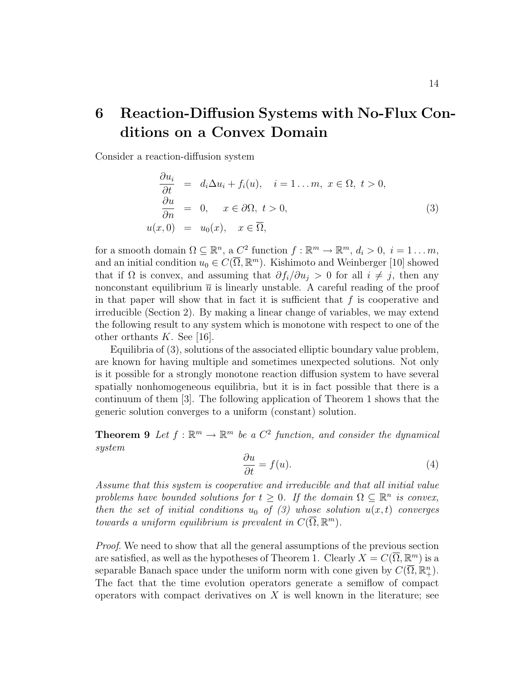# 6 Reaction-Diffusion Systems with No-Flux Conditions on a Convex Domain

Consider a reaction-diffusion system

$$
\begin{aligned}\n\frac{\partial u_i}{\partial t} &= d_i \Delta u_i + f_i(u), \quad i = 1 \dots m, \ x \in \Omega, \ t > 0, \\
\frac{\partial u}{\partial n} &= 0, \quad x \in \partial \Omega, \ t > 0, \\
u(x, 0) &= u_0(x), \quad x \in \overline{\Omega},\n\end{aligned} \tag{3}
$$

for a smooth domain  $\Omega \subseteq \mathbb{R}^n$ , a  $C^2$  function  $f : \mathbb{R}^m \to \mathbb{R}^m$ ,  $d_i > 0$ ,  $i = 1 \dots m$ , and an initial condition  $u_0 \in C(\overline{\Omega}, \mathbb{R}^m)$ . Kishimoto and Weinberger [10] showed that if  $\Omega$  is convex, and assuming that  $\partial f_i/\partial u_j > 0$  for all  $i \neq j$ , then any nonconstant equilibrium  $\bar{u}$  is linearly unstable. A careful reading of the proof in that paper will show that in fact it is sufficient that  $f$  is cooperative and irreducible (Section 2). By making a linear change of variables, we may extend the following result to any system which is monotone with respect to one of the other orthants  $K$ . See [16].

Equilibria of (3), solutions of the associated elliptic boundary value problem, are known for having multiple and sometimes unexpected solutions. Not only is it possible for a strongly monotone reaction diffusion system to have several spatially nonhomogeneous equilibria, but it is in fact possible that there is a continuum of them [3]. The following application of Theorem 1 shows that the generic solution converges to a uniform (constant) solution.

**Theorem 9** Let  $f : \mathbb{R}^m \to \mathbb{R}^m$  be a  $C^2$  function, and consider the dynamical system

$$
\frac{\partial u}{\partial t} = f(u). \tag{4}
$$

Assume that this system is cooperative and irreducible and that all initial value problems have bounded solutions for  $t \geq 0$ . If the domain  $\Omega \subseteq \mathbb{R}^n$  is convex, then the set of initial conditions  $u_0$  of (3) whose solution  $u(x,t)$  converges towards a uniform equilibrium is prevalent in  $C(\overline{\Omega}, \mathbb{R}^m)$ .

Proof. We need to show that all the general assumptions of the previous section are satisfied, as well as the hypotheses of Theorem 1. Clearly  $X = C(\overline{\Omega}, \mathbb{R}^m)$  is a separable Banach space under the uniform norm with cone given by  $C(\overline{\Omega}, \mathbb{R}^n_+)$ . The fact that the time evolution operators generate a semiflow of compact operators with compact derivatives on  $X$  is well known in the literature; see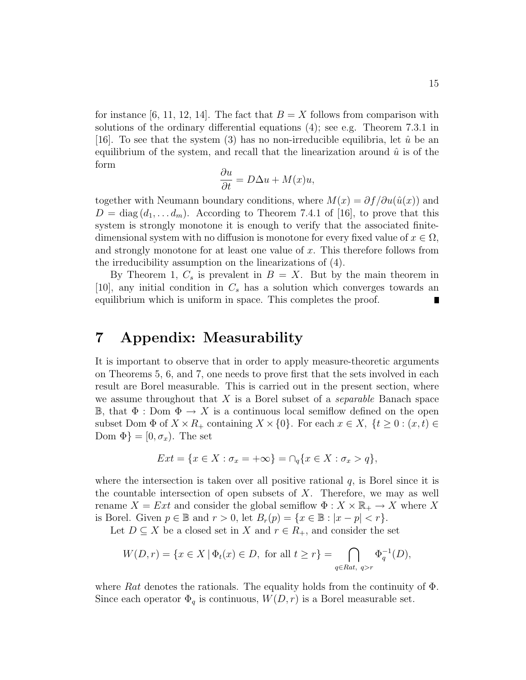for instance [6, 11, 12, 14]. The fact that  $B = X$  follows from comparison with solutions of the ordinary differential equations (4); see e.g. Theorem 7.3.1 in [16]. To see that the system (3) has no non-irreducible equilibria, let  $\hat{u}$  be an equilibrium of the system, and recall that the linearization around  $\hat{u}$  is of the form

$$
\frac{\partial u}{\partial t} = D\Delta u + M(x)u,
$$

together with Neumann boundary conditions, where  $M(x) = \partial f / \partial u(\hat{u}(x))$  and  $D = \text{diag}(d_1, \ldots, d_m)$ . According to Theorem 7.4.1 of [16], to prove that this system is strongly monotone it is enough to verify that the associated finitedimensional system with no diffusion is monotone for every fixed value of  $x \in \Omega$ , and strongly monotone for at least one value of  $x$ . This therefore follows from the irreducibility assumption on the linearizations of (4).

By Theorem 1,  $C_s$  is prevalent in  $B = X$ . But by the main theorem in [10], any initial condition in  $C_s$  has a solution which converges towards an equilibrium which is uniform in space. This completes the proof. П

### 7 Appendix: Measurability

It is important to observe that in order to apply measure-theoretic arguments on Theorems 5, 6, and 7, one needs to prove first that the sets involved in each result are Borel measurable. This is carried out in the present section, where we assume throughout that  $X$  is a Borel subset of a *separable* Banach space B, that  $\Phi : \text{Dom } \Phi \to X$  is a continuous local semiflow defined on the open subset Dom  $\Phi$  of  $X \times R_+$  containing  $X \times \{0\}$ . For each  $x \in X$ ,  $\{t \geq 0 : (x, t) \in$ Dom  $\Phi$ } = [0,  $\sigma_x$ ). The set

$$
Ext = \{ x \in X : \sigma_x = +\infty \} = \cap_q \{ x \in X : \sigma_x > q \},
$$

where the intersection is taken over all positive rational  $q$ , is Borel since it is the countable intersection of open subsets of  $X$ . Therefore, we may as well rename  $X = Ext$  and consider the global semiflow  $\Phi: X \times \mathbb{R}_+ \to X$  where X is Borel. Given  $p \in \mathbb{B}$  and  $r > 0$ , let  $B_r(p) = \{x \in \mathbb{B} : |x - p| < r\}.$ 

Let  $D \subseteq X$  be a closed set in X and  $r \in R_+$ , and consider the set

$$
W(D,r) = \{ x \in X \mid \Phi_t(x) \in D, \text{ for all } t \ge r \} = \bigcap_{q \in Rat, \ q > r} \Phi_q^{-1}(D),
$$

where Rat denotes the rationals. The equality holds from the continuity of  $\Phi$ . Since each operator  $\Phi_q$  is continuous,  $W(D, r)$  is a Borel measurable set.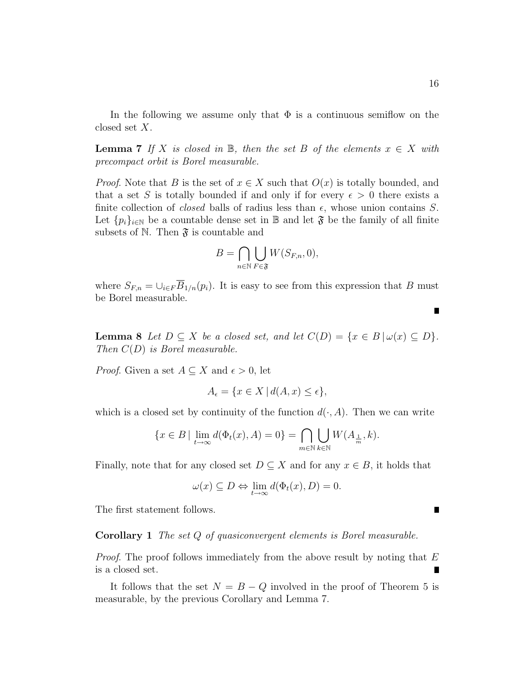In the following we assume only that  $\Phi$  is a continuous semiflow on the closed set X.

**Lemma 7** If X is closed in  $\mathbb{B}$ , then the set B of the elements  $x \in X$  with precompact orbit is Borel measurable.

*Proof.* Note that B is the set of  $x \in X$  such that  $O(x)$  is totally bounded, and that a set S is totally bounded if and only if for every  $\epsilon > 0$  there exists a finite collection of *closed* balls of radius less than  $\epsilon$ , whose union contains S. Let  $\{p_i\}_{i\in\mathbb{N}}$  be a countable dense set in B and let  $\mathfrak{F}$  be the family of all finite subsets of N. Then  $\mathfrak{F}$  is countable and

$$
B = \bigcap_{n \in \mathbb{N}} \bigcup_{F \in \mathfrak{F}} W(S_{F,n}, 0),
$$

where  $S_{F,n} = \bigcup_{i \in F} \overline{B}_{1/n}(p_i)$ . It is easy to see from this expression that B must be Borel measurable.

**Lemma 8** Let  $D \subseteq X$  be a closed set, and let  $C(D) = \{x \in B | \omega(x) \subseteq D\}.$ Then  $C(D)$  is Borel measurable.

*Proof.* Given a set  $A \subseteq X$  and  $\epsilon > 0$ , let

$$
A_{\epsilon} = \{ x \in X \mid d(A, x) \le \epsilon \},
$$

which is a closed set by continuity of the function  $d(\cdot, A)$ . Then we can write

$$
\{x \in B \mid \lim_{t \to \infty} d(\Phi_t(x), A) = 0\} = \bigcap_{m \in \mathbb{N}} \bigcup_{k \in \mathbb{N}} W(A_{\frac{1}{m}}, k).
$$

Finally, note that for any closed set  $D \subseteq X$  and for any  $x \in B$ , it holds that

$$
\omega(x) \subseteq D \Leftrightarrow \lim_{t \to \infty} d(\Phi_t(x), D) = 0.
$$

The first statement follows.

#### Corollary 1 The set Q of quasiconvergent elements is Borel measurable.

*Proof.* The proof follows immediately from the above result by noting that  $E$ is a closed set.

It follows that the set  $N = B - Q$  involved in the proof of Theorem 5 is measurable, by the previous Corollary and Lemma 7.

П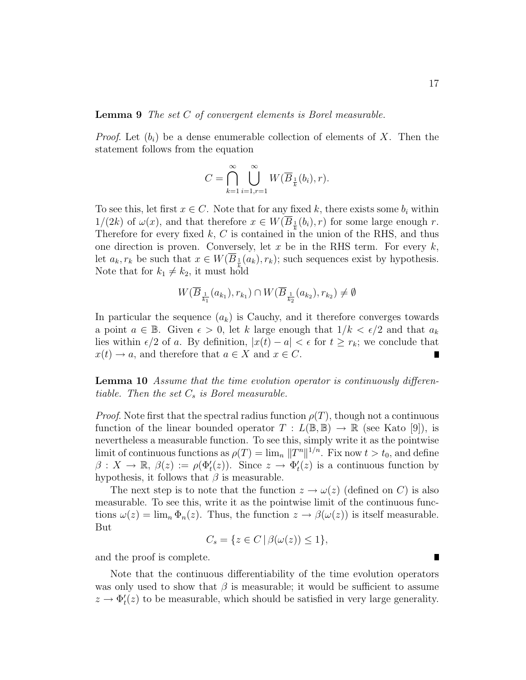*Proof.* Let  $(b_i)$  be a dense enumerable collection of elements of X. Then the statement follows from the equation

$$
C = \bigcap_{k=1}^{\infty} \bigcup_{i=1, r=1}^{\infty} W(\overline{B}_{\frac{1}{k}}(b_i), r).
$$

To see this, let first  $x \in C$ . Note that for any fixed k, there exists some  $b_i$  within  $1/(2k)$  of  $\omega(x)$ , and that therefore  $x \in W(\overline{B}_{\frac{1}{k}}(b_i), r)$  for some large enough r. Therefore for every fixed  $k, C$  is contained in the union of the RHS, and thus one direction is proven. Conversely, let  $x$  be in the RHS term. For every  $k$ , let  $a_k, r_k$  be such that  $x \in W(\overline{B}_\frac{1}{2}(a_k), r_k)$ ; such sequences exist by hypothesis. Note that for  $k_1 \neq k_2$ , it must hold

$$
W(\overline{B}_{\frac{1}{k_1}}(a_{k_1}), r_{k_1}) \cap W(\overline{B}_{\frac{1}{k_2}}(a_{k_2}), r_{k_2}) \neq \emptyset
$$

In particular the sequence  $(a_k)$  is Cauchy, and it therefore converges towards a point  $a \in \mathbb{B}$ . Given  $\epsilon > 0$ , let k large enough that  $1/k < \epsilon/2$  and that  $a_k$ lies within  $\epsilon/2$  of a. By definition,  $|x(t) - a| < \epsilon$  for  $t \geq r_k$ ; we conclude that  $x(t) \to a$ , and therefore that  $a \in X$  and  $x \in C$ .

Lemma 10 Assume that the time evolution operator is continuously differentiable. Then the set  $C_s$  is Borel measurable.

*Proof.* Note first that the spectral radius function  $\rho(T)$ , though not a continuous function of the linear bounded operator  $T : L(\mathbb{B}, \mathbb{B}) \to \mathbb{R}$  (see Kato [9]), is nevertheless a measurable function. To see this, simply write it as the pointwise limit of continuous functions as  $\rho(T) = \lim_n ||T^n||^{1/n}$ . Fix now  $t > t_0$ , and define  $\beta: X \to \mathbb{R}, \ \beta(z) := \rho(\Phi_t'(z)).$  Since  $z \to \Phi_t'(z)$  is a continuous function by hypothesis, it follows that  $\beta$  is measurable.

The next step is to note that the function  $z \to \omega(z)$  (defined on C) is also measurable. To see this, write it as the pointwise limit of the continuous functions  $\omega(z) = \lim_{n} \Phi_n(z)$ . Thus, the function  $z \to \beta(\omega(z))$  is itself measurable. But

$$
C_s = \{ z \in C \mid \beta(\omega(z)) \le 1 \},\
$$

and the proof is complete.

Note that the continuous differentiability of the time evolution operators was only used to show that  $\beta$  is measurable; it would be sufficient to assume  $z \to \Phi_t'(z)$  to be measurable, which should be satisfied in very large generality.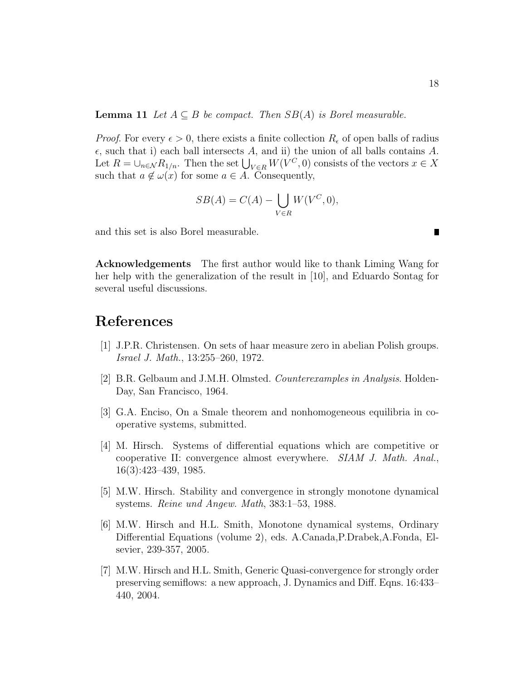**Lemma 11** Let  $A \subseteq B$  be compact. Then  $SB(A)$  is Borel measurable.

*Proof.* For every  $\epsilon > 0$ , there exists a finite collection  $R_{\epsilon}$  of open balls of radius  $\epsilon$ , such that i) each ball intersects A, and ii) the union of all balls contains A.  $\mathcal{L}$ , such that I) each ball intersects A, and II) the union of all balls contains A.<br>Let  $R = \cup_{n \in \mathcal{N}} R_{1/n}$ . Then the set  $\bigcup_{V \in R} W(V^C, 0)$  consists of the vectors  $x \in X$ such that  $a \notin \omega(x)$  for some  $a \in A$ . Consequently,

$$
SB(A) = C(A) - \bigcup_{V \in R} W(V^C, 0),
$$

and this set is also Borel measurable.

Acknowledgements The first author would like to thank Liming Wang for her help with the generalization of the result in [10], and Eduardo Sontag for several useful discussions.

### References

- [1] J.P.R. Christensen. On sets of haar measure zero in abelian Polish groups. Israel J. Math., 13:255–260, 1972.
- [2] B.R. Gelbaum and J.M.H. Olmsted. Counterexamples in Analysis. Holden-Day, San Francisco, 1964.
- [3] G.A. Enciso, On a Smale theorem and nonhomogeneous equilibria in cooperative systems, submitted.
- [4] M. Hirsch. Systems of differential equations which are competitive or cooperative II: convergence almost everywhere. SIAM J. Math. Anal., 16(3):423–439, 1985.
- [5] M.W. Hirsch. Stability and convergence in strongly monotone dynamical systems. Reine und Angew. Math, 383:1–53, 1988.
- [6] M.W. Hirsch and H.L. Smith, Monotone dynamical systems, Ordinary Differential Equations (volume 2), eds. A.Canada,P.Drabek,A.Fonda, Elsevier, 239-357, 2005.
- [7] M.W. Hirsch and H.L. Smith, Generic Quasi-convergence for strongly order preserving semiflows: a new approach, J. Dynamics and Diff. Eqns. 16:433– 440, 2004.

 $\blacksquare$